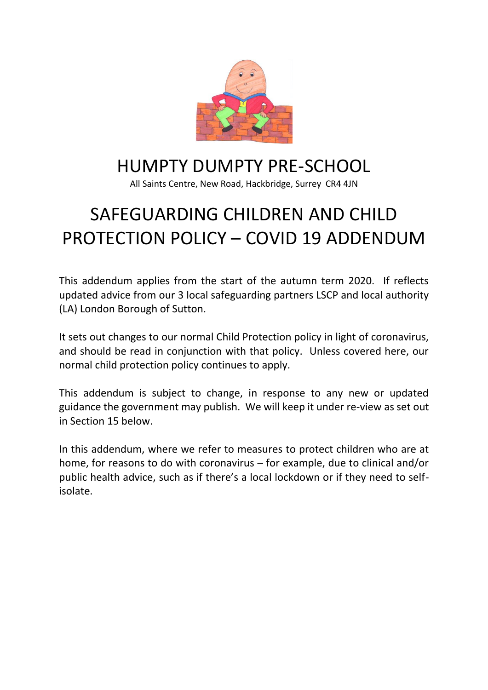

# HUMPTY DUMPTY PRE-SCHOOL

All Saints Centre, New Road, Hackbridge, Surrey CR4 4JN

# SAFEGUARDING CHILDREN AND CHILD PROTECTION POLICY – COVID 19 ADDENDUM

This addendum applies from the start of the autumn term 2020. If reflects updated advice from our 3 local safeguarding partners LSCP and local authority (LA) London Borough of Sutton.

It sets out changes to our normal Child Protection policy in light of coronavirus, and should be read in conjunction with that policy. Unless covered here, our normal child protection policy continues to apply.

This addendum is subject to change, in response to any new or updated guidance the government may publish. We will keep it under re-view as set out in Section 15 below.

In this addendum, where we refer to measures to protect children who are at home, for reasons to do with coronavirus – for example, due to clinical and/or public health advice, such as if there's a local lockdown or if they need to selfisolate.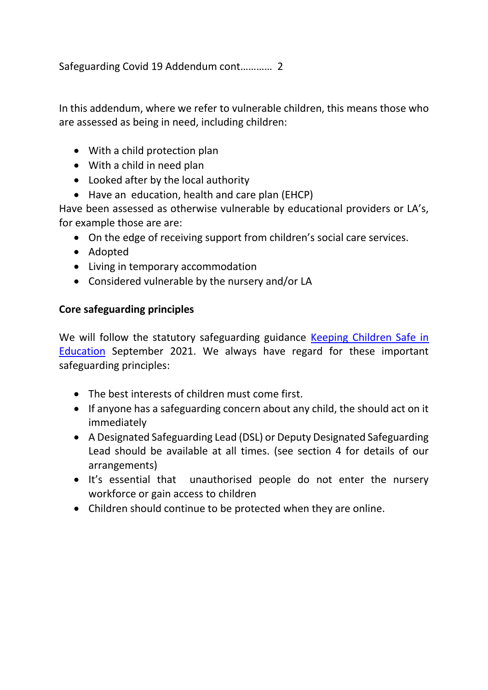In this addendum, where we refer to vulnerable children, this means those who are assessed as being in need, including children:

- With a child protection plan
- With a child in need plan
- Looked after by the local authority
- Have an education, health and care plan (EHCP)

Have been assessed as otherwise vulnerable by educational providers or LA's, for example those are are:

- On the edge of receiving support from children's social care services.
- Adopted
- Living in temporary accommodation
- Considered vulnerable by the nursery and/or LA

# **Core safeguarding principles**

We will follow the statutory safeguarding guidance Keeping Children Safe in **[Education](https://assets.publishing.service.gov.uk/government/uploads/system/uploads/attachment_data/file/1014057/KCSIE_2021_September.pdf)** September 2021. We always have regard for these important safeguarding principles:

- The best interests of children must come first.
- If anyone has a safeguarding concern about any child, the should act on it immediately
- A Designated Safeguarding Lead (DSL) or Deputy Designated Safeguarding Lead should be available at all times. (see section 4 for details of our arrangements)
- It's essential that unauthorised people do not enter the nursery workforce or gain access to children
- Children should continue to be protected when they are online.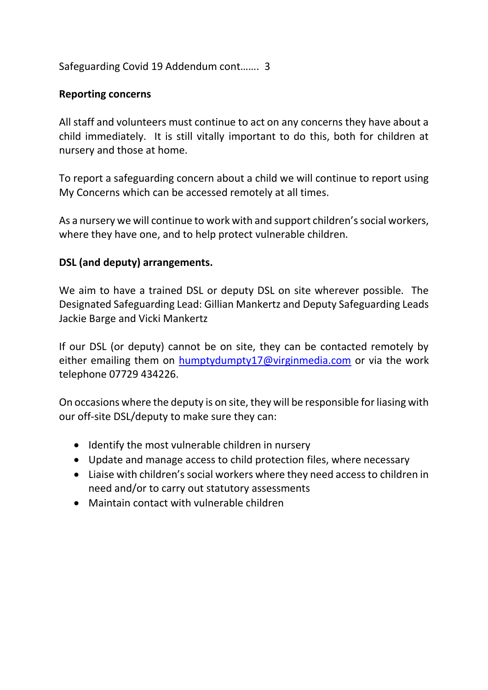Safeguarding Covid 19 Addendum cont……. 3

## **Reporting concerns**

All staff and volunteers must continue to act on any concerns they have about a child immediately. It is still vitally important to do this, both for children at nursery and those at home.

To report a safeguarding concern about a child we will continue to report using My Concerns which can be accessed remotely at all times.

As a nursery we will continue to work with and support children's social workers, where they have one, and to help protect vulnerable children.

## **DSL (and deputy) arrangements.**

We aim to have a trained DSL or deputy DSL on site wherever possible. The Designated Safeguarding Lead: Gillian Mankertz and Deputy Safeguarding Leads Jackie Barge and Vicki Mankertz

If our DSL (or deputy) cannot be on site, they can be contacted remotely by either emailing them on **humptydumpty17@virginmedia.com** or via the work telephone 07729 434226.

On occasions where the deputy is on site, they will be responsible for liasing with our off-site DSL/deputy to make sure they can:

- Identify the most vulnerable children in nursery
- Update and manage access to child protection files, where necessary
- Liaise with children's social workers where they need access to children in need and/or to carry out statutory assessments
- Maintain contact with vulnerable children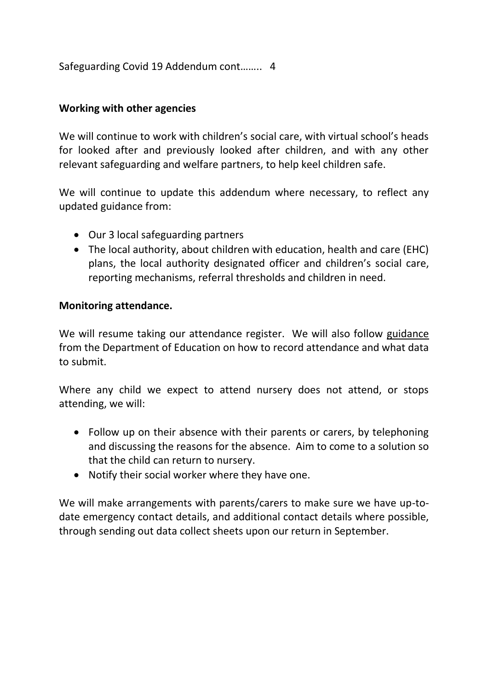Safeguarding Covid 19 Addendum cont…….. 4

# **Working with other agencies**

We will continue to work with children's social care, with virtual school's heads for looked after and previously looked after children, and with any other relevant safeguarding and welfare partners, to help keel children safe.

We will continue to update this addendum where necessary, to reflect any updated guidance from:

- Our 3 local safeguarding partners
- The local authority, about children with education, health and care (EHC) plans, the local authority designated officer and children's social care, reporting mechanisms, referral thresholds and children in need.

## **Monitoring attendance.**

We will resume taking our attendance register. We will also follow guidance from the Department of Education on how to record attendance and what data to submit.

Where any child we expect to attend nursery does not attend, or stops attending, we will:

- Follow up on their absence with their parents or carers, by telephoning and discussing the reasons for the absence. Aim to come to a solution so that the child can return to nursery.
- Notify their social worker where they have one.

We will make arrangements with parents/carers to make sure we have up-todate emergency contact details, and additional contact details where possible, through sending out data collect sheets upon our return in September.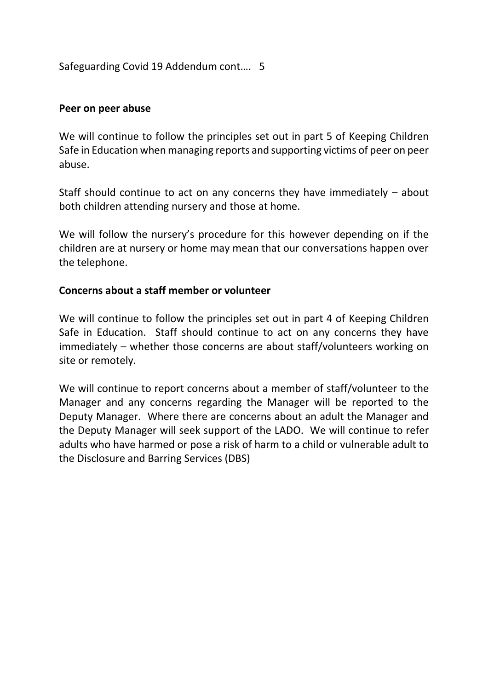Safeguarding Covid 19 Addendum cont…. 5

#### **Peer on peer abuse**

We will continue to follow the principles set out in part 5 of Keeping Children Safe in Education when managing reports and supporting victims of peer on peer abuse.

Staff should continue to act on any concerns they have immediately – about both children attending nursery and those at home.

We will follow the nursery's procedure for this however depending on if the children are at nursery or home may mean that our conversations happen over the telephone.

#### **Concerns about a staff member or volunteer**

We will continue to follow the principles set out in part 4 of Keeping Children Safe in Education. Staff should continue to act on any concerns they have immediately – whether those concerns are about staff/volunteers working on site or remotely.

We will continue to report concerns about a member of staff/volunteer to the Manager and any concerns regarding the Manager will be reported to the Deputy Manager. Where there are concerns about an adult the Manager and the Deputy Manager will seek support of the LADO. We will continue to refer adults who have harmed or pose a risk of harm to a child or vulnerable adult to the Disclosure and Barring Services (DBS)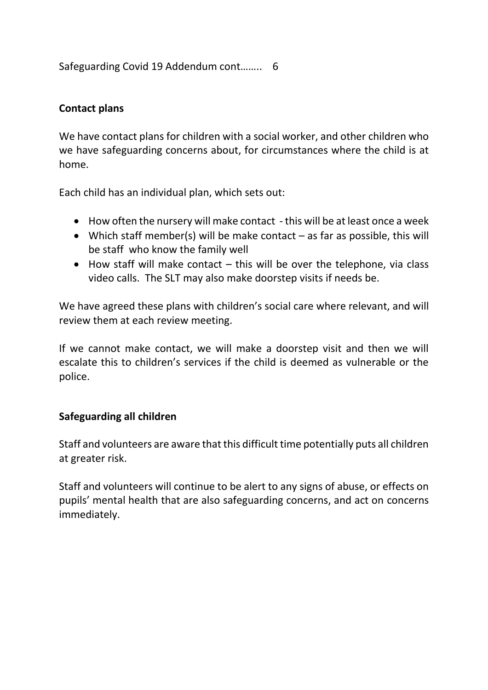Safeguarding Covid 19 Addendum cont…….. 6

# **Contact plans**

We have contact plans for children with a social worker, and other children who we have safeguarding concerns about, for circumstances where the child is at home.

Each child has an individual plan, which sets out:

- How often the nursery will make contact this will be at least once a week
- Which staff member(s) will be make contact as far as possible, this will be staff who know the family well
- $\bullet$  How staff will make contact this will be over the telephone, via class video calls. The SLT may also make doorstep visits if needs be.

We have agreed these plans with children's social care where relevant, and will review them at each review meeting.

If we cannot make contact, we will make a doorstep visit and then we will escalate this to children's services if the child is deemed as vulnerable or the police.

## **Safeguarding all children**

Staff and volunteers are aware that this difficult time potentially puts all children at greater risk.

Staff and volunteers will continue to be alert to any signs of abuse, or effects on pupils' mental health that are also safeguarding concerns, and act on concerns immediately.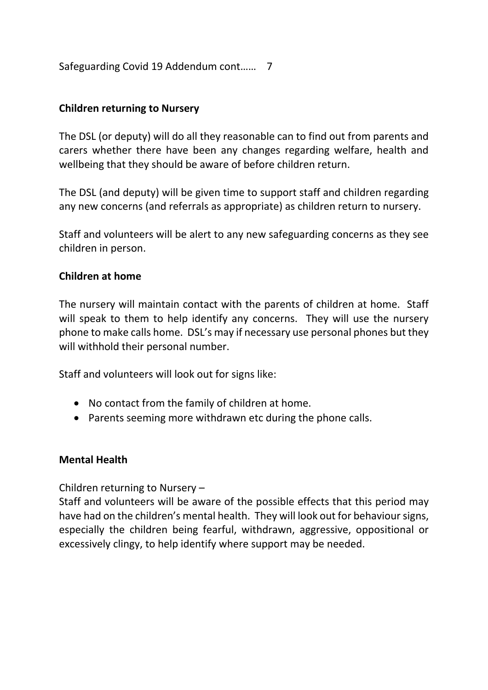Safeguarding Covid 19 Addendum cont…… 7

## **Children returning to Nursery**

The DSL (or deputy) will do all they reasonable can to find out from parents and carers whether there have been any changes regarding welfare, health and wellbeing that they should be aware of before children return.

The DSL (and deputy) will be given time to support staff and children regarding any new concerns (and referrals as appropriate) as children return to nursery.

Staff and volunteers will be alert to any new safeguarding concerns as they see children in person.

## **Children at home**

The nursery will maintain contact with the parents of children at home. Staff will speak to them to help identify any concerns. They will use the nursery phone to make calls home. DSL's may if necessary use personal phones but they will withhold their personal number.

Staff and volunteers will look out for signs like:

- No contact from the family of children at home.
- Parents seeming more withdrawn etc during the phone calls.

#### **Mental Health**

Children returning to Nursery –

Staff and volunteers will be aware of the possible effects that this period may have had on the children's mental health. They will look out for behaviour signs, especially the children being fearful, withdrawn, aggressive, oppositional or excessively clingy, to help identify where support may be needed.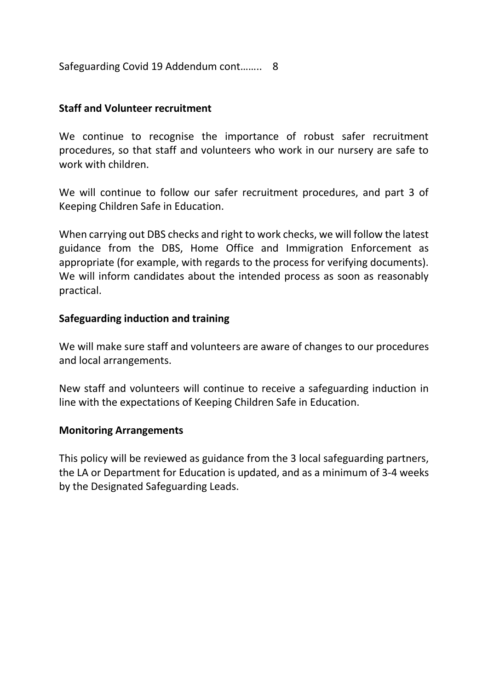Safeguarding Covid 19 Addendum cont…….. 8

#### **Staff and Volunteer recruitment**

We continue to recognise the importance of robust safer recruitment procedures, so that staff and volunteers who work in our nursery are safe to work with children.

We will continue to follow our safer recruitment procedures, and part 3 of Keeping Children Safe in Education.

When carrying out DBS checks and right to work checks, we will follow the latest guidance from the DBS, Home Office and Immigration Enforcement as appropriate (for example, with regards to the process for verifying documents). We will inform candidates about the intended process as soon as reasonably practical.

#### **Safeguarding induction and training**

We will make sure staff and volunteers are aware of changes to our procedures and local arrangements.

New staff and volunteers will continue to receive a safeguarding induction in line with the expectations of Keeping Children Safe in Education.

#### **Monitoring Arrangements**

This policy will be reviewed as guidance from the 3 local safeguarding partners, the LA or Department for Education is updated, and as a minimum of 3-4 weeks by the Designated Safeguarding Leads.